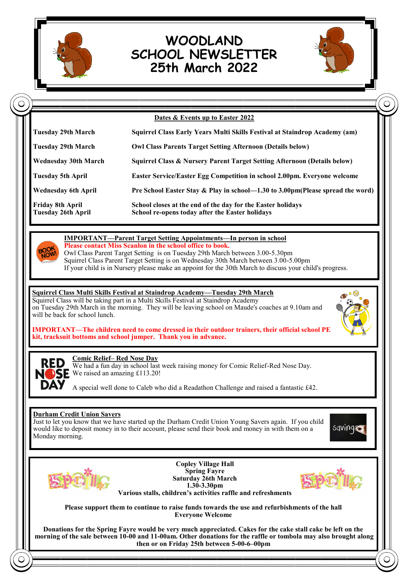

# **WOODLAND SCHOOL NEWSLETTER 25th March 2022**



|                                                                                                     | Dates & Events up to Easter 2022                                                                                                                                                                                                                                                                                                                                                                                       |
|-----------------------------------------------------------------------------------------------------|------------------------------------------------------------------------------------------------------------------------------------------------------------------------------------------------------------------------------------------------------------------------------------------------------------------------------------------------------------------------------------------------------------------------|
| <b>Tuesday 29th March</b>                                                                           | Squirrel Class Early Years Multi Skills Festival at Staindrop Academy (am)                                                                                                                                                                                                                                                                                                                                             |
| <b>Tuesday 29th March</b>                                                                           | <b>Owl Class Parents Target Setting Afternoon (Details below)</b>                                                                                                                                                                                                                                                                                                                                                      |
| <b>Wednesday 30th March</b>                                                                         | Squirrel Class & Nursery Parent Target Setting Afternoon (Details below)                                                                                                                                                                                                                                                                                                                                               |
| <b>Tuesday 5th April</b>                                                                            | Easter Service/Easter Egg Competition in school 2.00pm. Everyone welcome                                                                                                                                                                                                                                                                                                                                               |
| <b>Wednesday 6th April</b>                                                                          | Pre School Easter Stay & Play in school-1.30 to 3.00pm(Please spread the word)                                                                                                                                                                                                                                                                                                                                         |
| <b>Friday 8th April</b><br><b>Tuesday 26th April</b>                                                | School closes at the end of the day for the Easter holidays<br>School re-opens today after the Easter holidays                                                                                                                                                                                                                                                                                                         |
| <b>BOOK</b><br><b>NOW</b>                                                                           | <b>IMPORTANT—Parent Target Setting Appointments—In person in school</b><br>Please contact Miss Scanlon in the school office to book.<br>Owl Class Parent Target Setting is on Tuesday 29th March between 3.00-5.30pm<br>Squirrel Class Parent Target Setting is on Wednesday 30th March between 3.00-5.00pm<br>If your child is in Nursery please make an appoint for the 30th March to discuss your child's progress. |
|                                                                                                     | <b>Squirrel Class Multi Skills Festival at Staindrop Academy-Tuesday 29th March</b>                                                                                                                                                                                                                                                                                                                                    |
|                                                                                                     | Squirrel Class will be taking part in a Multi Skills Festival at Staindrop Academy<br>on Tuesday 29th March in the morning. They will be leaving school on Maude's coaches at 9.10am and<br><b>IMPORTANT—The children need to come dressed in their outdoor trainers, their official school PE</b><br>kit, tracksuit bottoms and school jumper. Thank you in advance.                                                  |
| will be back for school lunch.<br><b>Comic Relief-Red Nose Day</b><br>We raised an amazing £113.20! | We had a fun day in school last week raising money for Comic Relief-Red Nose Day.                                                                                                                                                                                                                                                                                                                                      |
|                                                                                                     | A special well done to Caleb who did a Readathon Challenge and raised a fantastic £42.                                                                                                                                                                                                                                                                                                                                 |
| <b>Durham Credit Union Savers</b><br>Monday morning.                                                | Just to let you know that we have started up the Durham Credit Union Young Savers again. If you child<br>sqvings<br>would like to deposit money in to their account, please send their book and money in with them on a                                                                                                                                                                                                |
|                                                                                                     | <b>Copley Village Hall</b><br><b>Spring Fayre</b><br><b>Saturday 26th March</b><br>1.30-3.30pm<br>Various stalls, children's activities raffle and refreshments                                                                                                                                                                                                                                                        |

**morning of the sale between 10-00 and 11-00am. Other donations for the raffle or tombola may also brought along then or on Friday 25th between 5-00-6–00pm**